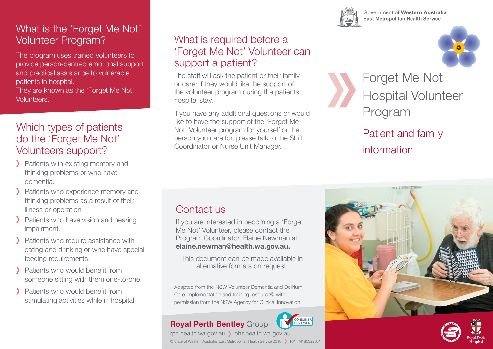# What is the 'Forget Me Not' Volunteer Program?

The program uses trained volunteers to provide person-centred emotional support and practical assistance to vulnerable patients in hospital.

They are known as the 'Forget Me Not' Volunteers.

### Which types of patients do the 'Forget Me Not' Volunteers support?

- > Patients with existing memory and thinking problems or who have dementia.
- > Patients who experience memory and thinking problems as a result of their illness or operation.
- > Patients who have vision and hearing impairment.
- > Patients who require assistance with eating and drinking or who have special feeding requirements.
- > Patients who would benefit from someone sitting with them one-to-one.
- > Patients who would benefit from stimulating activities while in hospital.

# What is required before a 'Forget Me Not' Volunteer can support a patient?

The staff will ask the patient or their family or carer if they would like the support of the volunteer program during the patients hospital stay.

If you have any additional questions or would like to have the support of the 'Forget Me Not' Volunteer program for yourself or the person you care for, please talk to the Shift Coordinator or Nurse Unit Manager.

Government of Western Australia **East Metropolitan Health Service** 



Forget Me Not Hospital Volunteer Program

Patient and family information

# Contact us

If you are interested in becoming a 'Forget Me Not' Volunteer, please contact the Program Coordinator, Elaine Newman at **elaine.newman@health.wa.gov.au.**

This document can be made available in alternative formats on request.

Adapted from the NSW Volunteer Dementia and Delirium Care Implementation and training resource© with permission from the NSW Agency for Clinical Innovation

© State of Western Australia, East Metropolitan Health Service 2018 > RPH M180322001

### **Royal Perth Bentley** Group